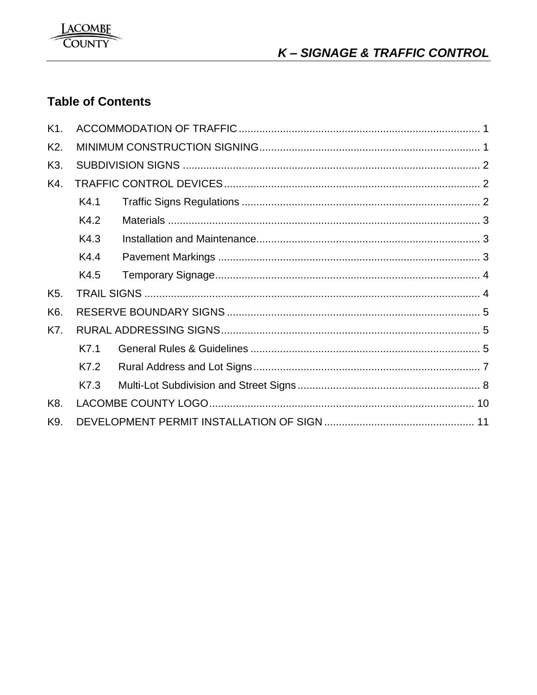

# **Table of Contents**

| K <sub>1</sub> . |      |  |  |  |
|------------------|------|--|--|--|
| K <sub>2</sub> . |      |  |  |  |
| K3.              |      |  |  |  |
| K4.              |      |  |  |  |
|                  | K4.1 |  |  |  |
|                  | K4.2 |  |  |  |
|                  | K4.3 |  |  |  |
|                  | K4.4 |  |  |  |
|                  | K4.5 |  |  |  |
| K <sub>5</sub> . |      |  |  |  |
| K6.              |      |  |  |  |
| K7.              |      |  |  |  |
|                  | K7.1 |  |  |  |
|                  | K7.2 |  |  |  |
|                  | K7.3 |  |  |  |
| K8.              |      |  |  |  |
| K9.              |      |  |  |  |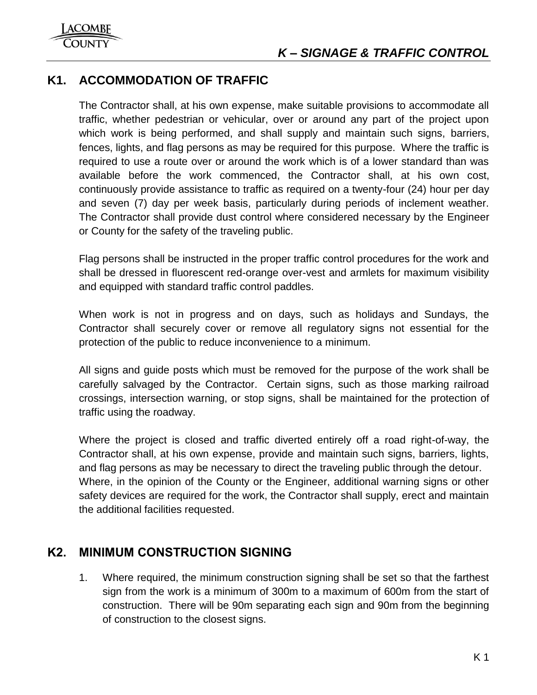## <span id="page-1-0"></span>**K1. ACCOMMODATION OF TRAFFIC**

The Contractor shall, at his own expense, make suitable provisions to accommodate all traffic, whether pedestrian or vehicular, over or around any part of the project upon which work is being performed, and shall supply and maintain such signs, barriers, fences, lights, and flag persons as may be required for this purpose. Where the traffic is required to use a route over or around the work which is of a lower standard than was available before the work commenced, the Contractor shall, at his own cost, continuously provide assistance to traffic as required on a twenty-four (24) hour per day and seven (7) day per week basis, particularly during periods of inclement weather. The Contractor shall provide dust control where considered necessary by the Engineer or County for the safety of the traveling public.

Flag persons shall be instructed in the proper traffic control procedures for the work and shall be dressed in fluorescent red-orange over-vest and armlets for maximum visibility and equipped with standard traffic control paddles.

When work is not in progress and on days, such as holidays and Sundays, the Contractor shall securely cover or remove all regulatory signs not essential for the protection of the public to reduce inconvenience to a minimum.

All signs and guide posts which must be removed for the purpose of the work shall be carefully salvaged by the Contractor. Certain signs, such as those marking railroad crossings, intersection warning, or stop signs, shall be maintained for the protection of traffic using the roadway.

Where the project is closed and traffic diverted entirely off a road right-of-way, the Contractor shall, at his own expense, provide and maintain such signs, barriers, lights, and flag persons as may be necessary to direct the traveling public through the detour. Where, in the opinion of the County or the Engineer, additional warning signs or other safety devices are required for the work, the Contractor shall supply, erect and maintain the additional facilities requested.

## <span id="page-1-1"></span>**K2. MINIMUM CONSTRUCTION SIGNING**

1. Where required, the minimum construction signing shall be set so that the farthest sign from the work is a minimum of 300m to a maximum of 600m from the start of construction. There will be 90m separating each sign and 90m from the beginning of construction to the closest signs.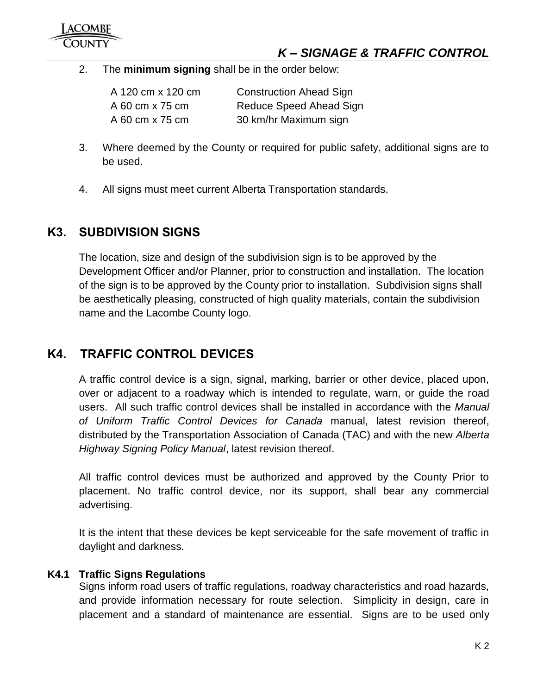2. The **minimum signing** shall be in the order below:

A 120 cm x 120 cm Construction Ahead Sign A 60 cm x 75 cm Reduce Speed Ahead Sign A 60 cm x 75 cm 30 km/hr Maximum sign

- 3. Where deemed by the County or required for public safety, additional signs are to be used.
- 4. All signs must meet current Alberta Transportation standards.

## <span id="page-2-0"></span>**K3. SUBDIVISION SIGNS**

The location, size and design of the subdivision sign is to be approved by the Development Officer and/or Planner, prior to construction and installation. The location of the sign is to be approved by the County prior to installation. Subdivision signs shall be aesthetically pleasing, constructed of high quality materials, contain the subdivision name and the Lacombe County logo.

## <span id="page-2-1"></span>**K4. TRAFFIC CONTROL DEVICES**

A traffic control device is a sign, signal, marking, barrier or other device, placed upon, over or adjacent to a roadway which is intended to regulate, warn, or guide the road users. All such traffic control devices shall be installed in accordance with the *Manual of Uniform Traffic Control Devices for Canada* manual, latest revision thereof, distributed by the Transportation Association of Canada (TAC) and with the new *Alberta Highway Signing Policy Manual*, latest revision thereof.

All traffic control devices must be authorized and approved by the County Prior to placement. No traffic control device, nor its support, shall bear any commercial advertising.

It is the intent that these devices be kept serviceable for the safe movement of traffic in daylight and darkness.

## <span id="page-2-2"></span>**K4.1 Traffic Signs Regulations**

Signs inform road users of traffic regulations, roadway characteristics and road hazards, and provide information necessary for route selection. Simplicity in design, care in placement and a standard of maintenance are essential. Signs are to be used only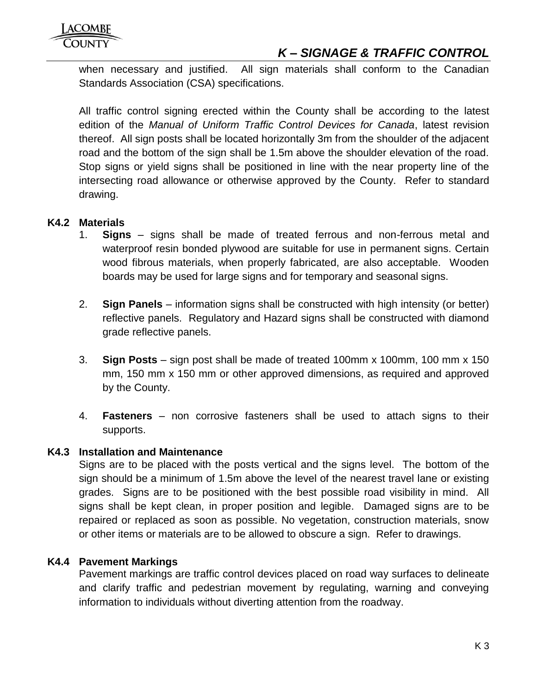## *K – SIGNAGE & TRAFFIC CONTROL*

when necessary and justified. All sign materials shall conform to the Canadian Standards Association (CSA) specifications.

All traffic control signing erected within the County shall be according to the latest edition of the *Manual of Uniform Traffic Control Devices for Canada*, latest revision thereof. All sign posts shall be located horizontally 3m from the shoulder of the adjacent road and the bottom of the sign shall be 1.5m above the shoulder elevation of the road. Stop signs or yield signs shall be positioned in line with the near property line of the intersecting road allowance or otherwise approved by the County. Refer to standard drawing.

## <span id="page-3-0"></span>**K4.2 Materials**

- 1. **Signs** signs shall be made of treated ferrous and non-ferrous metal and waterproof resin bonded plywood are suitable for use in permanent signs. Certain wood fibrous materials, when properly fabricated, are also acceptable. Wooden boards may be used for large signs and for temporary and seasonal signs.
- 2. **Sign Panels** information signs shall be constructed with high intensity (or better) reflective panels. Regulatory and Hazard signs shall be constructed with diamond grade reflective panels.
- 3. **Sign Posts** sign post shall be made of treated 100mm x 100mm, 100 mm x 150 mm, 150 mm x 150 mm or other approved dimensions, as required and approved by the County.
- 4. **Fasteners** non corrosive fasteners shall be used to attach signs to their supports.

## <span id="page-3-1"></span>**K4.3 Installation and Maintenance**

Signs are to be placed with the posts vertical and the signs level. The bottom of the sign should be a minimum of 1.5m above the level of the nearest travel lane or existing grades. Signs are to be positioned with the best possible road visibility in mind. All signs shall be kept clean, in proper position and legible. Damaged signs are to be repaired or replaced as soon as possible. No vegetation, construction materials, snow or other items or materials are to be allowed to obscure a sign. Refer to drawings.

## <span id="page-3-2"></span>**K4.4 Pavement Markings**

Pavement markings are traffic control devices placed on road way surfaces to delineate and clarify traffic and pedestrian movement by regulating, warning and conveying information to individuals without diverting attention from the roadway.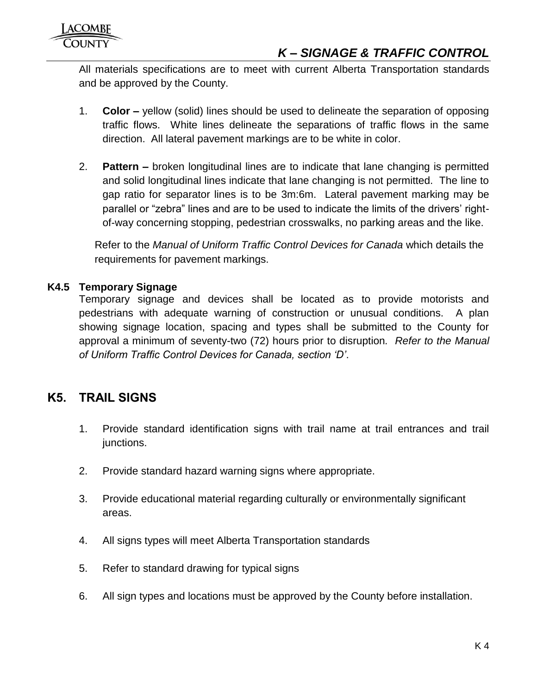All materials specifications are to meet with current Alberta Transportation standards and be approved by the County.

- 1. **Color –** yellow (solid) lines should be used to delineate the separation of opposing traffic flows. White lines delineate the separations of traffic flows in the same direction. All lateral pavement markings are to be white in color.
- 2. **Pattern –** broken longitudinal lines are to indicate that lane changing is permitted and solid longitudinal lines indicate that lane changing is not permitted. The line to gap ratio for separator lines is to be 3m:6m. Lateral pavement marking may be parallel or "zebra" lines and are to be used to indicate the limits of the drivers' rightof-way concerning stopping, pedestrian crosswalks, no parking areas and the like.

Refer to the *Manual of Uniform Traffic Control Devices for Canada* which details the requirements for pavement markings.

## <span id="page-4-0"></span>**K4.5 Temporary Signage**

Temporary signage and devices shall be located as to provide motorists and pedestrians with adequate warning of construction or unusual conditions. A plan showing signage location, spacing and types shall be submitted to the County for approval a minimum of seventy-two (72) hours prior to disruption*. Refer to the Manual of Uniform Traffic Control Devices for Canada, section 'D'*.

## <span id="page-4-1"></span>**K5. TRAIL SIGNS**

- 1. Provide standard identification signs with trail name at trail entrances and trail junctions.
- 2. Provide standard hazard warning signs where appropriate.
- 3. Provide educational material regarding culturally or environmentally significant areas.
- 4. All signs types will meet Alberta Transportation standards
- 5. Refer to standard drawing for typical signs
- 6. All sign types and locations must be approved by the County before installation.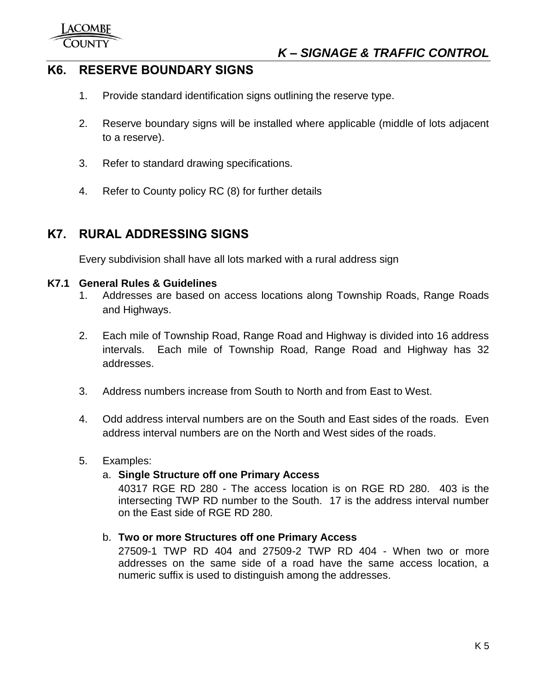## <span id="page-5-0"></span>**K6. RESERVE BOUNDARY SIGNS**

- 1. Provide standard identification signs outlining the reserve type.
- 2. Reserve boundary signs will be installed where applicable (middle of lots adjacent to a reserve).
- 3. Refer to standard drawing specifications.
- 4. Refer to County policy RC (8) for further details

## <span id="page-5-1"></span>**K7. RURAL ADDRESSING SIGNS**

Every subdivision shall have all lots marked with a rural address sign

#### <span id="page-5-2"></span>**K7.1 General Rules & Guidelines**

- 1. Addresses are based on access locations along Township Roads, Range Roads and Highways.
- 2. Each mile of Township Road, Range Road and Highway is divided into 16 address intervals. Each mile of Township Road, Range Road and Highway has 32 addresses.
- 3. Address numbers increase from South to North and from East to West.
- 4. Odd address interval numbers are on the South and East sides of the roads. Even address interval numbers are on the North and West sides of the roads.

## 5. Examples:

## a. **Single Structure off one Primary Access**

40317 RGE RD 280 - The access location is on RGE RD 280. 403 is the intersecting TWP RD number to the South. 17 is the address interval number on the East side of RGE RD 280.

## b. **Two or more Structures off one Primary Access**

27509-1 TWP RD 404 and 27509-2 TWP RD 404 - When two or more addresses on the same side of a road have the same access location, a numeric suffix is used to distinguish among the addresses.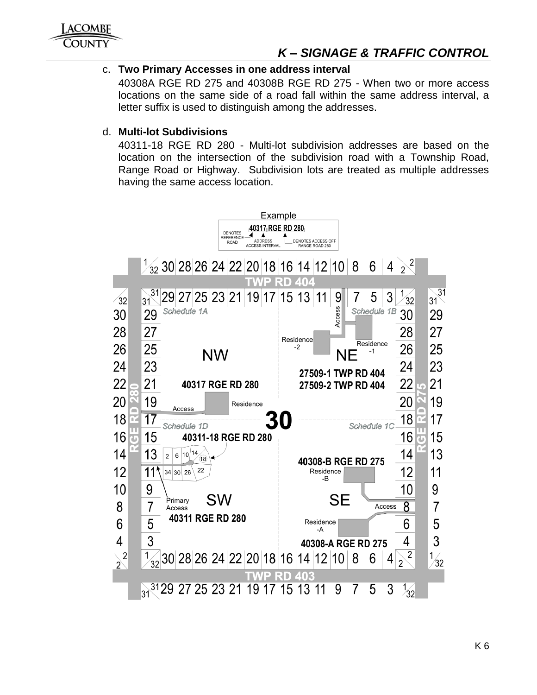

## *K – SIGNAGE & TRAFFIC CONTROL*

## c. **Two Primary Accesses in one address interval**

40308A RGE RD 275 and 40308B RGE RD 275 - When two or more access locations on the same side of a road fall within the same address interval, a letter suffix is used to distinguish among the addresses.

#### d. **Multi-lot Subdivisions**

40311-18 RGE RD 280 - Multi-lot subdivision addresses are based on the location on the intersection of the subdivision road with a Township Road, Range Road or Highway. Subdivision lots are treated as multiple addresses having the same access location.

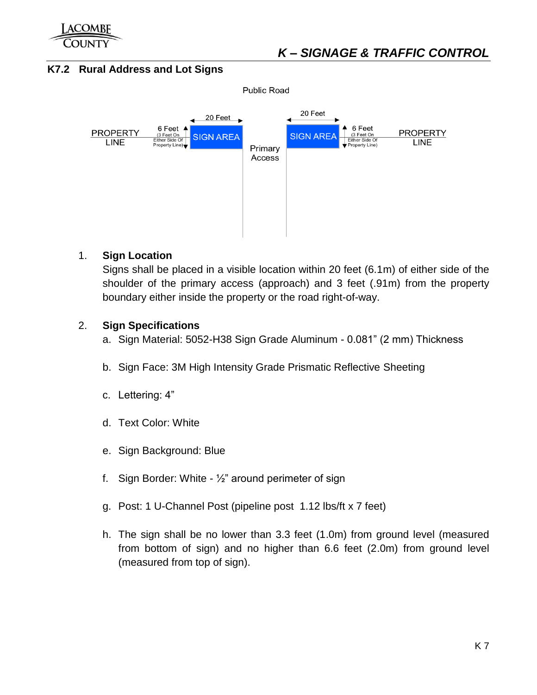

## <span id="page-7-0"></span>**K7.2 Rural Address and Lot Signs**



## 1. **Sign Location**

Signs shall be placed in a visible location within 20 feet (6.1m) of either side of the shoulder of the primary access (approach) and 3 feet (.91m) from the property boundary either inside the property or the road right-of-way.

## 2. **Sign Specifications**

- a. Sign Material: 5052-H38 Sign Grade Aluminum 0.081" (2 mm) Thickness
- b. Sign Face: 3M High Intensity Grade Prismatic Reflective Sheeting
- c. Lettering: 4"
- d. Text Color: White
- e. Sign Background: Blue
- f. Sign Border: White  $\frac{1}{2}$ " around perimeter of sign
- g. Post: 1 U-Channel Post (pipeline post 1.12 lbs/ft x 7 feet)
- h. The sign shall be no lower than 3.3 feet (1.0m) from ground level (measured from bottom of sign) and no higher than 6.6 feet (2.0m) from ground level (measured from top of sign).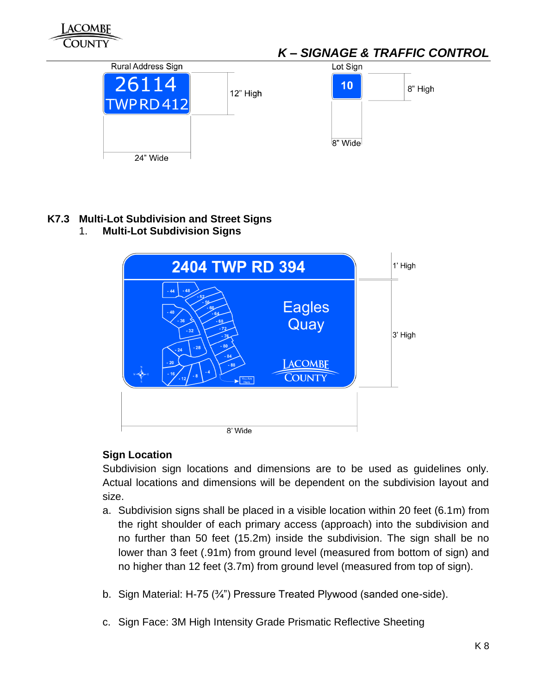

## <span id="page-8-0"></span>**K7.3 Multi-Lot Subdivision and Street Signs**

1. **Multi-Lot Subdivision Signs**



## **Sign Location**

Subdivision sign locations and dimensions are to be used as guidelines only. Actual locations and dimensions will be dependent on the subdivision layout and size.

- a. Subdivision signs shall be placed in a visible location within 20 feet (6.1m) from the right shoulder of each primary access (approach) into the subdivision and no further than 50 feet (15.2m) inside the subdivision. The sign shall be no lower than 3 feet (.91m) from ground level (measured from bottom of sign) and no higher than 12 feet (3.7m) from ground level (measured from top of sign).
- b. Sign Material: H-75 ( $\frac{3}{4}$ ") Pressure Treated Plywood (sanded one-side).
- c. Sign Face: 3M High Intensity Grade Prismatic Reflective Sheeting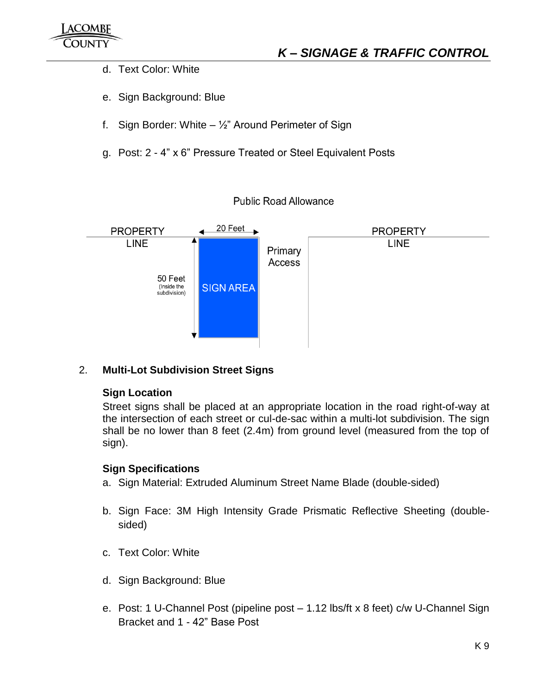- d. Text Color: White
- e. Sign Background: Blue
- f. Sign Border: White  $-$  1/<sub>2</sub>" Around Perimeter of Sign
- g. Post: 2 4" x 6" Pressure Treated or Steel Equivalent Posts

## **Public Road Allowance**



## 2. **Multi-Lot Subdivision Street Signs**

## **Sign Location**

Street signs shall be placed at an appropriate location in the road right-of-way at the intersection of each street or cul-de-sac within a multi-lot subdivision. The sign shall be no lower than 8 feet (2.4m) from ground level (measured from the top of sign).

## **Sign Specifications**

- a. Sign Material: Extruded Aluminum Street Name Blade (double-sided)
- b. Sign Face: 3M High Intensity Grade Prismatic Reflective Sheeting (doublesided)
- c. Text Color: White
- d. Sign Background: Blue
- e. Post: 1 U-Channel Post (pipeline post 1.12 lbs/ft x 8 feet) c/w U-Channel Sign Bracket and 1 - 42" Base Post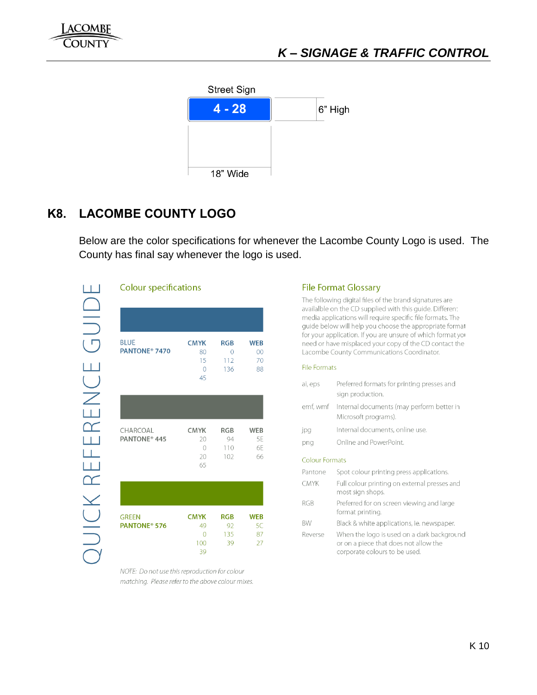

# <span id="page-10-0"></span>**K8. LACOMBE COUNTY LOGO**

Below are the color specifications for whenever the Lacombe County Logo is used. The County has final say whenever the logo is used.

#### **Colour specifications**

| <b>BLUE</b>               | <b>CMYK</b> | <b>RGB</b> | <b>WEB</b> |
|---------------------------|-------------|------------|------------|
| PANTONE <sup>®</sup> 7470 | 80          |            | 00         |
|                           | 15          | 112        | 70         |
|                           |             | 136        | 88         |
|                           | 45          |            |            |

| CHARCOAL                 | <b>CMYK</b> | RGB | WEB |
|--------------------------|-------------|-----|-----|
| PANTONE <sup>®</sup> 445 | 20          | 94  | 5F  |
|                          | $\bigcap$   | 110 | бF  |
|                          | 20          | 102 | 66  |
|                          | 65          |     |     |
|                          |             |     |     |

| <b>GREEN</b>             | <b>CMYK</b> | <b>RGB</b> | <b>WEB</b> |
|--------------------------|-------------|------------|------------|
| PANTONE <sup>®</sup> 576 | 49          | 92         | 5C         |
|                          | ∩           | 135        | 87         |
|                          | 100         | 39         | 27         |
|                          | 39          |            |            |

NOTE: Do not use this reproduction for colour matching. Please refer to the above colour mixes.

#### **File Format Glossary**

The following digital files of the brand signatures are availalble on the CD supplied with this guide. Different media applications will require specific file formats. The guide below will help you choose the appropriate format for your application. If you are unsure of which format you need or have misplaced your copy of the CD contact the Lacombe County Communications Coordinator.

#### **File Formats**

| Preferred formats for printing presses and<br>sign production.                                                       |
|----------------------------------------------------------------------------------------------------------------------|
| emf, wmf Internal documents (may perform better in<br>Microsoft programs).                                           |
| Internal documents, online use.                                                                                      |
| Online and PowerPoint.                                                                                               |
| <b>Colour Formats</b>                                                                                                |
| Spot colour printing press applications.                                                                             |
| Full colour printing on external presses and<br>most sign shops.                                                     |
| Preferred for on screen viewing and large<br>format printing.                                                        |
| Black & white applications, ie. newspaper.                                                                           |
| When the logo is used on a dark background<br>or on a piece that does not allow the<br>corporate colours to be used. |
|                                                                                                                      |